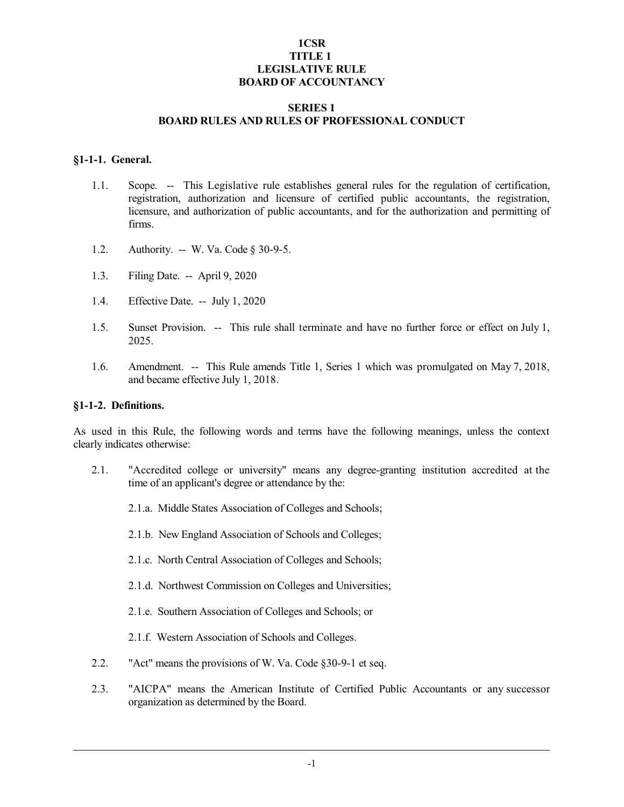# **1CSR TITLE 1 LEGISLATIVE RULE BOARD OF ACCOUNTANCY**

#### **SERIES 1 BOARD RULES AND RULES OF PROFESSIONAL CONDUCT**

#### **§1-1-1. General.**

- 1.1. Scope. -- This Legislative rule establishes general rules for the regulation of certification, registration, authorization and licensure of certified public accountants, the registration, licensure, and authorization of public accountants, and for the authorization and permitting of firms.
- 1.2. Authority. -- W. Va. Code § 30-9-5.
- 1.3. Filing Date. -- April 9, 2020
- 1.4. Effective Date. -- July 1, 2020
- 1.5. Sunset Provision. -- This rule shall terminate and have no further force or effect on July 1, 2025.
- 1.6. Amendment. -- This Rule amends Title 1, Series 1 which was promulgated on May 7, 2018, and became effective July 1, 2018.

#### **§1-1-2. Definitions.**

As used in this Rule, the following words and terms have the following meanings, unless the context clearly indicates otherwise:

- 2.1. "Accredited college or university" means any degree-granting institution accredited at the time of an applicant's degree or attendance by the:
	- 2.1.a. Middle States Association of Colleges and Schools;
	- 2.1.b. New England Association of Schools and Colleges;
	- 2.1.c. North Central Association of Colleges and Schools;
	- 2.1.d. Northwest Commission on Colleges and Universities;
	- 2.1.e. Southern Association of Colleges and Schools; or
	- 2.1.f. Western Association of Schools and Colleges.
- 2.2. "Act" means the provisions of W. Va. Code §30-9-1 et seq.
- 2.3. "AICPA" means the American Institute of Certified Public Accountants or any successor organization as determined by the Board.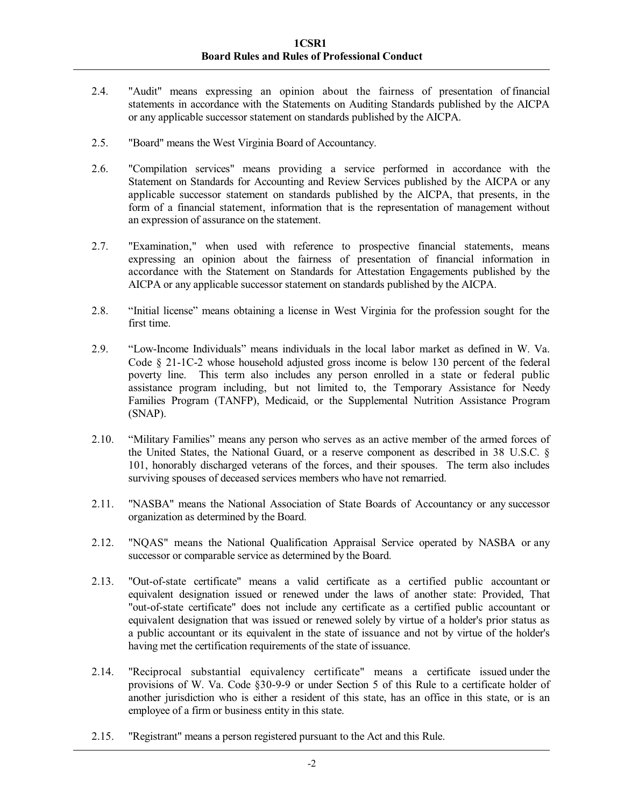- 2.4. "Audit" means expressing an opinion about the fairness of presentation of financial statements in accordance with the Statements on Auditing Standards published by the AICPA or any applicable successor statement on standards published by the AICPA.
- 2.5. "Board" means the West Virginia Board of Accountancy.
- 2.6. "Compilation services" means providing a service performed in accordance with the Statement on Standards for Accounting and Review Services published by the AICPA or any applicable successor statement on standards published by the AICPA, that presents, in the form of a financial statement, information that is the representation of management without an expression of assurance on the statement.
- 2.7. "Examination," when used with reference to prospective financial statements, means expressing an opinion about the fairness of presentation of financial information in accordance with the Statement on Standards for Attestation Engagements published by the AICPA or any applicable successor statement on standards published by the AICPA.
- 2.8. "Initial license" means obtaining a license in West Virginia for the profession sought for the first time.
- 2.9. "Low-Income Individuals" means individuals in the local labor market as defined in W. Va. Code § 21-1C-2 whose household adjusted gross income is below 130 percent of the federal poverty line. This term also includes any person enrolled in a state or federal public assistance program including, but not limited to, the Temporary Assistance for Needy Families Program (TANFP), Medicaid, or the Supplemental Nutrition Assistance Program (SNAP).
- 2.10. "Military Families" means any person who serves as an active member of the armed forces of the United States, the National Guard, or a reserve component as described in 38 U.S.C. § 101, honorably discharged veterans of the forces, and their spouses. The term also includes surviving spouses of deceased services members who have not remarried.
- 2.11. "NASBA" means the National Association of State Boards of Accountancy or any successor organization as determined by the Board.
- 2.12. "NQAS" means the National Qualification Appraisal Service operated by NASBA or any successor or comparable service as determined by the Board.
- 2.13. "Out-of-state certificate" means a valid certificate as a certified public accountant or equivalent designation issued or renewed under the laws of another state: Provided, That "out-of-state certificate" does not include any certificate as a certified public accountant or equivalent designation that was issued or renewed solely by virtue of a holder's prior status as a public accountant or its equivalent in the state of issuance and not by virtue of the holder's having met the certification requirements of the state of issuance.
- 2.14. "Reciprocal substantial equivalency certificate" means a certificate issued under the provisions of W. Va. Code §30-9-9 or under Section 5 of this Rule to a certificate holder of another jurisdiction who is either a resident of this state, has an office in this state, or is an employee of a firm or business entity in this state.
- 2.15. "Registrant" means a person registered pursuant to the Act and this Rule.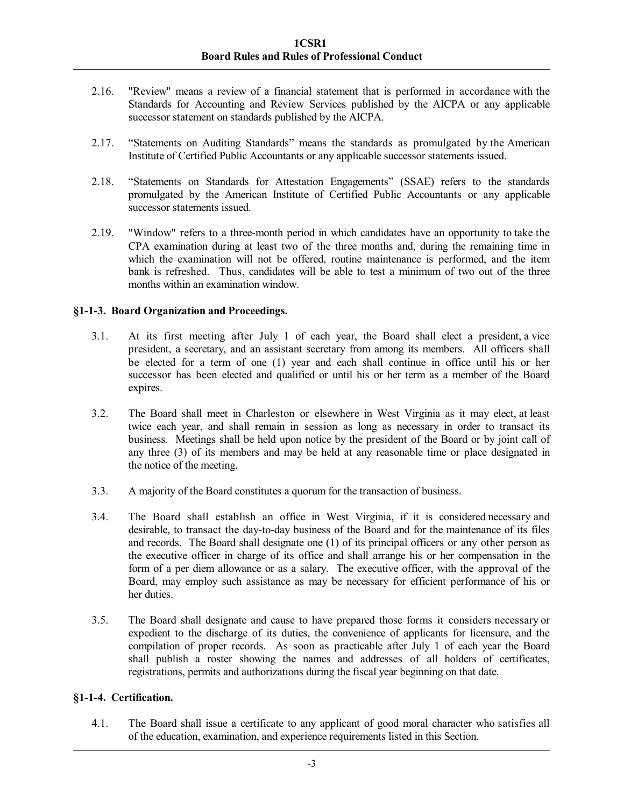- 2.16. "Review" means a review of a financial statement that is performed in accordance with the Standards for Accounting and Review Services published by the AICPA or any applicable successor statement on standards published by the AICPA.
- 2.17. "Statements on Auditing Standards" means the standards as promulgated by the American Institute of Certified Public Accountants or any applicable successor statements issued.
- 2.18. "Statements on Standards for Attestation Engagements" (SSAE) refers to the standards promulgated by the American Institute of Certified Public Accountants or any applicable successor statements issued.
- 2.19. "Window" refers to a three-month period in which candidates have an opportunity to take the CPA examination during at least two of the three months and, during the remaining time in which the examination will not be offered, routine maintenance is performed, and the item bank is refreshed. Thus, candidates will be able to test a minimum of two out of the three months within an examination window.

# **§1-1-3. Board Organization and Proceedings.**

- 3.1. At its first meeting after July 1 of each year, the Board shall elect a president, a vice president, a secretary, and an assistant secretary from among its members. All officers shall be elected for a term of one (1) year and each shall continue in office until his or her successor has been elected and qualified or until his or her term as a member of the Board expires.
- 3.2. The Board shall meet in Charleston or elsewhere in West Virginia as it may elect, at least twice each year, and shall remain in session as long as necessary in order to transact its business. Meetings shall be held upon notice by the president of the Board or by joint call of any three (3) of its members and may be held at any reasonable time or place designated in the notice of the meeting.
- 3.3. A majority of the Board constitutes a quorum for the transaction of business.
- 3.4. The Board shall establish an office in West Virginia, if it is considered necessary and desirable, to transact the day-to-day business of the Board and for the maintenance of its files and records. The Board shall designate one (1) of its principal officers or any other person as the executive officer in charge of its office and shall arrange his or her compensation in the form of a per diem allowance or as a salary. The executive officer, with the approval of the Board, may employ such assistance as may be necessary for efficient performance of his or her duties.
- 3.5. The Board shall designate and cause to have prepared those forms it considers necessary or expedient to the discharge of its duties, the convenience of applicants for licensure, and the compilation of proper records. As soon as practicable after July 1 of each year the Board shall publish a roster showing the names and addresses of all holders of certificates, registrations, permits and authorizations during the fiscal year beginning on that date.

### **§1-1-4. Certification.**

4.1. The Board shall issue a certificate to any applicant of good moral character who satisfies all of the education, examination, and experience requirements listed in this Section.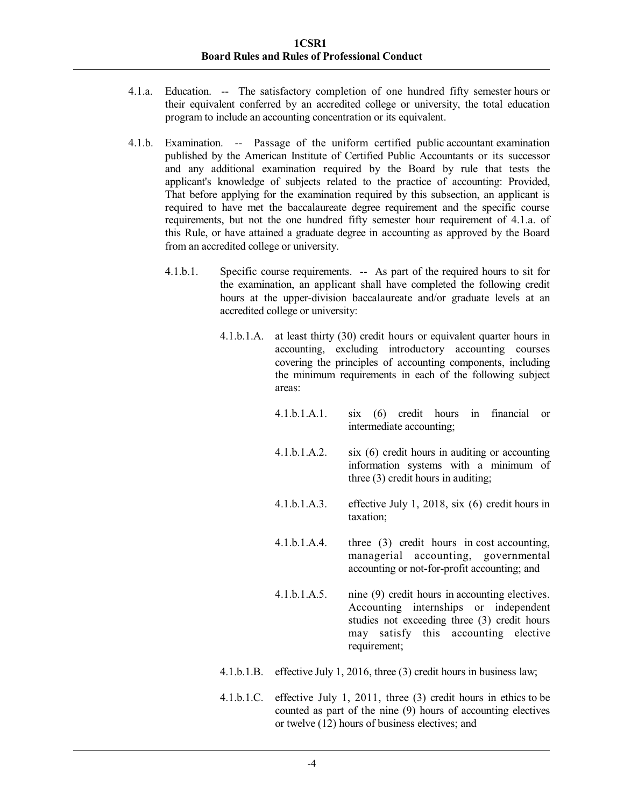- 4.1.a. Education. -- The satisfactory completion of one hundred fifty semester hours or their equivalent conferred by an accredited college or university, the total education program to include an accounting concentration or its equivalent.
- 4.1.b. Examination. -- Passage of the uniform certified public accountant examination published by the American Institute of Certified Public Accountants or its successor and any additional examination required by the Board by rule that tests the applicant's knowledge of subjects related to the practice of accounting: Provided, That before applying for the examination required by this subsection, an applicant is required to have met the baccalaureate degree requirement and the specific course requirements, but not the one hundred fifty semester hour requirement of 4.1.a. of this Rule, or have attained a graduate degree in accounting as approved by the Board from an accredited college or university.
	- 4.1.b.1. Specific course requirements. -- As part of the required hours to sit for the examination, an applicant shall have completed the following credit hours at the upper-division baccalaureate and/or graduate levels at an accredited college or university:
		- 4.1.b.1.A. at least thirty (30) credit hours or equivalent quarter hours in accounting, excluding introductory accounting courses covering the principles of accounting components, including the minimum requirements in each of the following subject areas:
			- 4.1.b.1.A.1. six (6) credit hours in financial or intermediate accounting;
			- 4.1.b.1.A.2. six (6) credit hours in auditing or accounting information systems with a minimum of three (3) credit hours in auditing;
			- 4.1.b.1.A.3. effective July 1, 2018, six (6) credit hours in taxation;
			- 4.1.b.1.A.4. three (3) credit hours in cost accounting, managerial accounting, governmental accounting or not-for-profit accounting; and
			- 4.1.b.1.A.5. nine (9) credit hours in accounting electives. Accounting internships or independent studies not exceeding three (3) credit hours may satisfy this accounting elective requirement;
		- 4.1.b.1.B. effective July 1, 2016, three (3) credit hours in business law;
		- 4.1.b.1.C. effective July 1, 2011, three (3) credit hours in ethics to be counted as part of the nine (9) hours of accounting electives or twelve (12) hours of business electives; and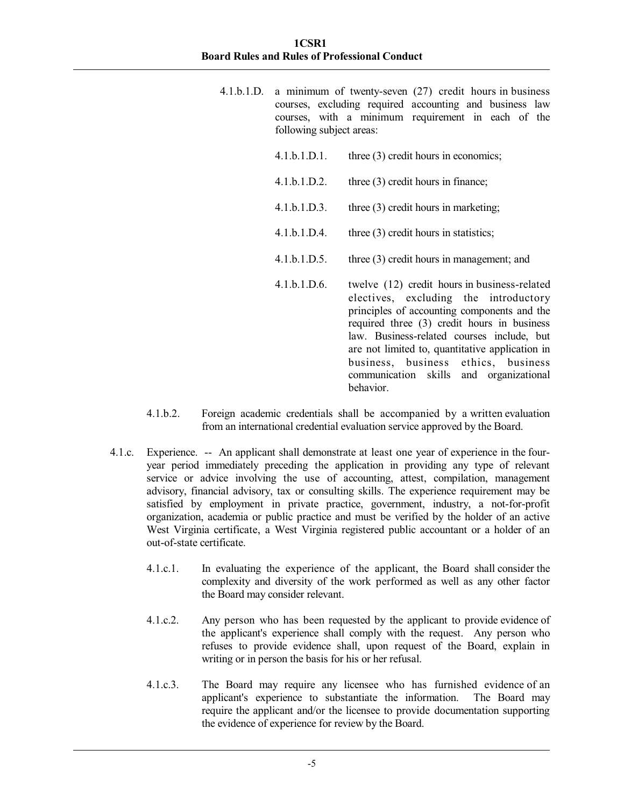- 4.1.b.1.D. a minimum of twenty-seven (27) credit hours in business courses, excluding required accounting and business law courses, with a minimum requirement in each of the following subject areas:
	- 4.1.b.1.D.1. three (3) credit hours in economics;
	- 4.1.b.1.D.2. three (3) credit hours in finance;
	- 4.1.b.1.D.3. three (3) credit hours in marketing;
	- 4.1.b.1.D.4. three (3) credit hours in statistics;
	- 4.1.b.1.D.5. three (3) credit hours in management; and
	- 4.1.b.1.D.6. twelve (12) credit hours in business-related electives, excluding the introductory principles of accounting components and the required three (3) credit hours in business law. Business-related courses include, but are not limited to, quantitative application in business, business ethics, business communication skills and organizational behavior.
- 4.1.b.2. Foreign academic credentials shall be accompanied by a written evaluation from an international credential evaluation service approved by the Board.
- 4.1.c. Experience. -- An applicant shall demonstrate at least one year of experience in the fouryear period immediately preceding the application in providing any type of relevant service or advice involving the use of accounting, attest, compilation, management advisory, financial advisory, tax or consulting skills. The experience requirement may be satisfied by employment in private practice, government, industry, a not-for-profit organization, academia or public practice and must be verified by the holder of an active West Virginia certificate, a West Virginia registered public accountant or a holder of an out-of-state certificate.
	- 4.1.c.1. In evaluating the experience of the applicant, the Board shall consider the complexity and diversity of the work performed as well as any other factor the Board may consider relevant.
	- 4.1.c.2. Any person who has been requested by the applicant to provide evidence of the applicant's experience shall comply with the request. Any person who refuses to provide evidence shall, upon request of the Board, explain in writing or in person the basis for his or her refusal.
	- 4.1.c.3. The Board may require any licensee who has furnished evidence of an applicant's experience to substantiate the information. The Board may require the applicant and/or the licensee to provide documentation supporting the evidence of experience for review by the Board.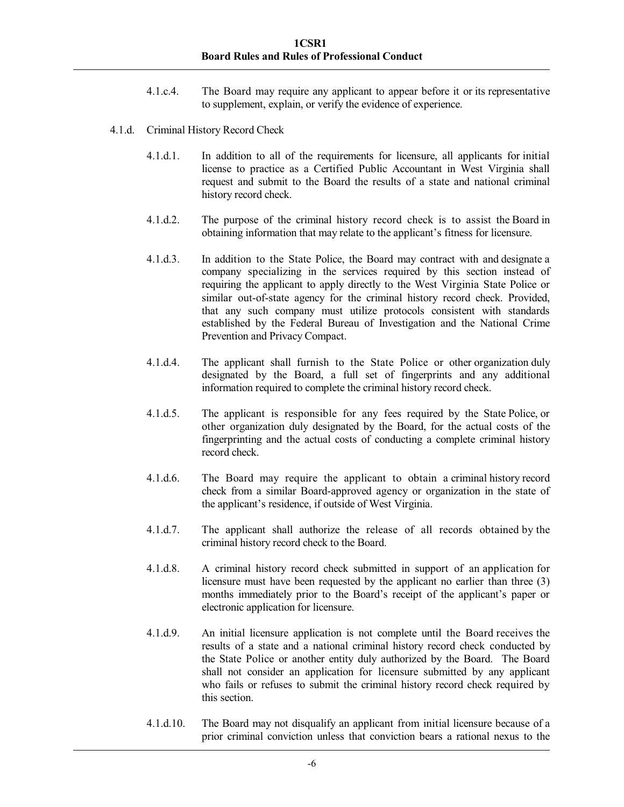- 4.1.c.4. The Board may require any applicant to appear before it or its representative to supplement, explain, or verify the evidence of experience.
- 4.1.d. Criminal History Record Check
	- 4.1.d.1. In addition to all of the requirements for licensure, all applicants for initial license to practice as a Certified Public Accountant in West Virginia shall request and submit to the Board the results of a state and national criminal history record check.
	- 4.1.d.2. The purpose of the criminal history record check is to assist the Board in obtaining information that may relate to the applicant's fitness for licensure.
	- 4.1.d.3. In addition to the State Police, the Board may contract with and designate a company specializing in the services required by this section instead of requiring the applicant to apply directly to the West Virginia State Police or similar out-of-state agency for the criminal history record check. Provided, that any such company must utilize protocols consistent with standards established by the Federal Bureau of Investigation and the National Crime Prevention and Privacy Compact.
	- 4.1.d.4. The applicant shall furnish to the State Police or other organization duly designated by the Board, a full set of fingerprints and any additional information required to complete the criminal history record check.
	- 4.1.d.5. The applicant is responsible for any fees required by the State Police, or other organization duly designated by the Board, for the actual costs of the fingerprinting and the actual costs of conducting a complete criminal history record check.
	- 4.1.d.6. The Board may require the applicant to obtain a criminal history record check from a similar Board-approved agency or organization in the state of the applicant's residence, if outside of West Virginia.
	- 4.1.d.7. The applicant shall authorize the release of all records obtained by the criminal history record check to the Board.
	- 4.1.d.8. A criminal history record check submitted in support of an application for licensure must have been requested by the applicant no earlier than three (3) months immediately prior to the Board's receipt of the applicant's paper or electronic application for licensure.
	- 4.1.d.9. An initial licensure application is not complete until the Board receives the results of a state and a national criminal history record check conducted by the State Police or another entity duly authorized by the Board. The Board shall not consider an application for licensure submitted by any applicant who fails or refuses to submit the criminal history record check required by this section.
	- 4.1.d.10. The Board may not disqualify an applicant from initial licensure because of a prior criminal conviction unless that conviction bears a rational nexus to the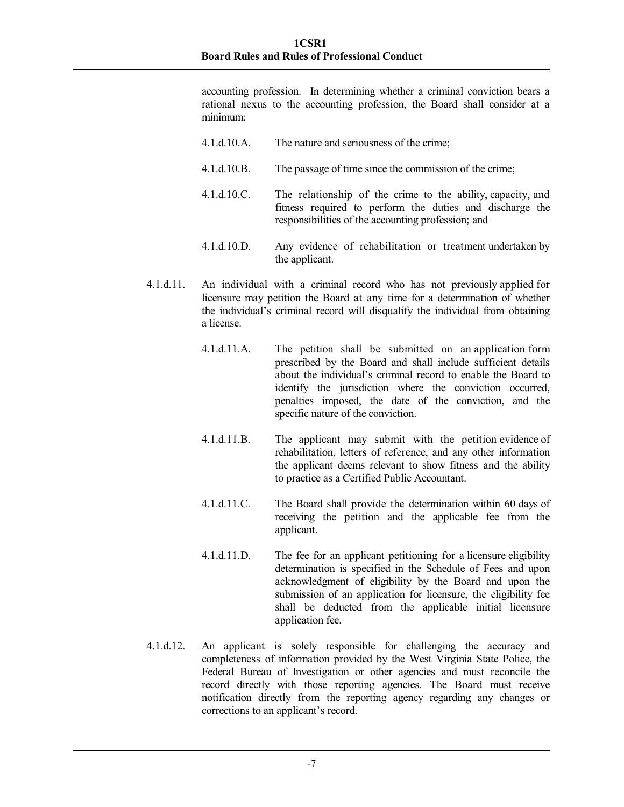accounting profession. In determining whether a criminal conviction bears a rational nexus to the accounting profession, the Board shall consider at a minimum:

- 4.1.d.10.A. The nature and seriousness of the crime;
- 4.1.d.10.B. The passage of time since the commission of the crime;
- 4.1.d.10.C. The relationship of the crime to the ability, capacity, and fitness required to perform the duties and discharge the responsibilities of the accounting profession; and
- 4.1.d.10.D. Any evidence of rehabilitation or treatment undertaken by the applicant.
- 4.1.d.11. An individual with a criminal record who has not previously applied for licensure may petition the Board at any time for a determination of whether the individual's criminal record will disqualify the individual from obtaining a license.
	- 4.1.d.11.A. The petition shall be submitted on an application form prescribed by the Board and shall include sufficient details about the individual's criminal record to enable the Board to identify the jurisdiction where the conviction occurred, penalties imposed, the date of the conviction, and the specific nature of the conviction.
	- 4.1.d.11.B. The applicant may submit with the petition evidence of rehabilitation, letters of reference, and any other information the applicant deems relevant to show fitness and the ability to practice as a Certified Public Accountant.
	- 4.1.d.11.C. The Board shall provide the determination within 60 days of receiving the petition and the applicable fee from the applicant.
	- 4.1.d.11.D. The fee for an applicant petitioning for a licensure eligibility determination is specified in the Schedule of Fees and upon acknowledgment of eligibility by the Board and upon the submission of an application for licensure, the eligibility fee shall be deducted from the applicable initial licensure application fee.
- 4.1.d.12. An applicant is solely responsible for challenging the accuracy and completeness of information provided by the West Virginia State Police, the Federal Bureau of Investigation or other agencies and must reconcile the record directly with those reporting agencies. The Board must receive notification directly from the reporting agency regarding any changes or corrections to an applicant's record.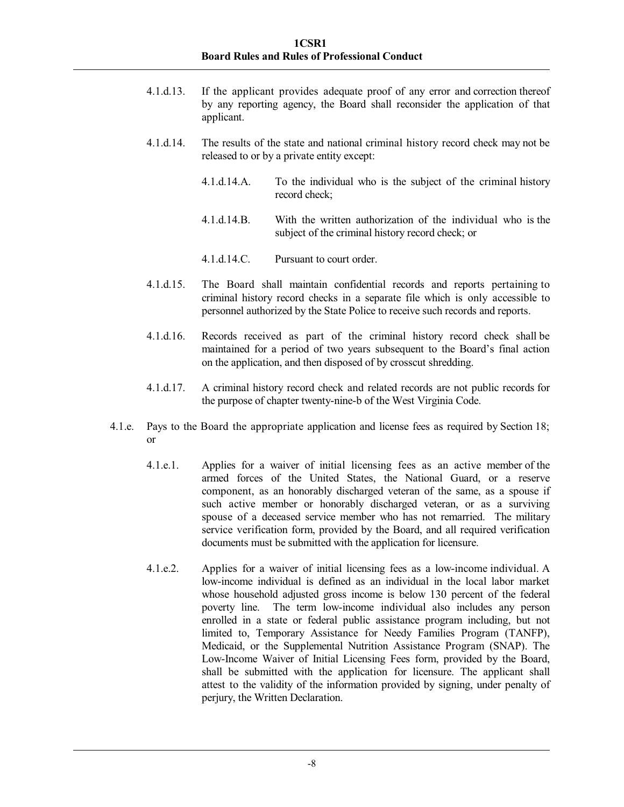- 4.1.d.13. If the applicant provides adequate proof of any error and correction thereof by any reporting agency, the Board shall reconsider the application of that applicant.
- 4.1.d.14. The results of the state and national criminal history record check may not be released to or by a private entity except:
	- 4.1.d.14.A. To the individual who is the subject of the criminal history record check;
	- 4.1.d.14.B. With the written authorization of the individual who is the subject of the criminal history record check; or
	- 4.1.d.14.C. Pursuant to court order.
- 4.1.d.15. The Board shall maintain confidential records and reports pertaining to criminal history record checks in a separate file which is only accessible to personnel authorized by the State Police to receive such records and reports.
- 4.1.d.16. Records received as part of the criminal history record check shall be maintained for a period of two years subsequent to the Board's final action on the application, and then disposed of by crosscut shredding.
- 4.1.d.17. A criminal history record check and related records are not public records for the purpose of chapter twenty-nine-b of the West Virginia Code.
- 4.1.e. Pays to the Board the appropriate application and license fees as required by Section 18; or
	- 4.1.e.1. Applies for a waiver of initial licensing fees as an active member of the armed forces of the United States, the National Guard, or a reserve component, as an honorably discharged veteran of the same, as a spouse if such active member or honorably discharged veteran, or as a surviving spouse of a deceased service member who has not remarried. The military service verification form, provided by the Board, and all required verification documents must be submitted with the application for licensure.
	- 4.1.e.2. Applies for a waiver of initial licensing fees as a low-income individual. A low-income individual is defined as an individual in the local labor market whose household adjusted gross income is below 130 percent of the federal poverty line. The term low-income individual also includes any person enrolled in a state or federal public assistance program including, but not limited to, Temporary Assistance for Needy Families Program (TANFP), Medicaid, or the Supplemental Nutrition Assistance Program (SNAP). The Low-Income Waiver of Initial Licensing Fees form, provided by the Board, shall be submitted with the application for licensure. The applicant shall attest to the validity of the information provided by signing, under penalty of perjury, the Written Declaration.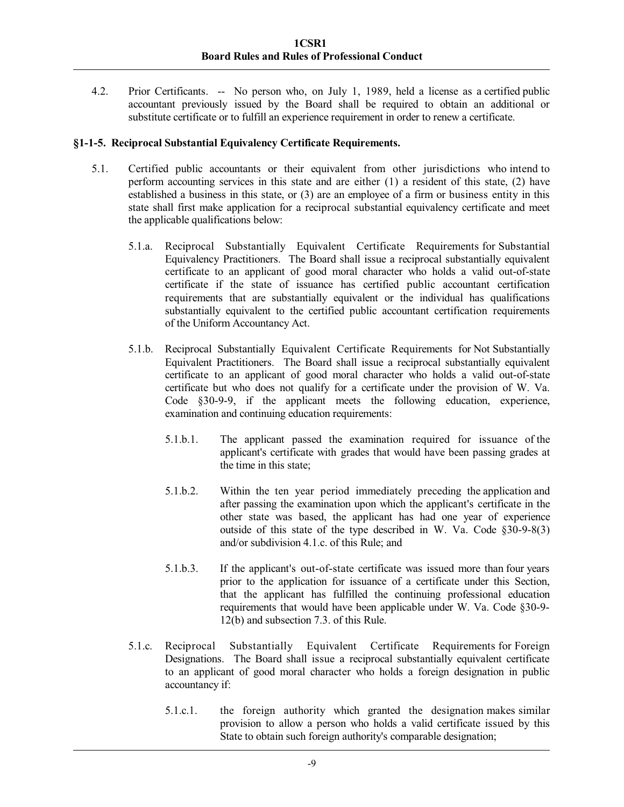4.2. Prior Certificants. -- No person who, on July 1, 1989, held a license as a certified public accountant previously issued by the Board shall be required to obtain an additional or substitute certificate or to fulfill an experience requirement in order to renew a certificate.

# **§1-1-5. Reciprocal Substantial Equivalency Certificate Requirements.**

- 5.1. Certified public accountants or their equivalent from other jurisdictions who intend to perform accounting services in this state and are either (1) a resident of this state, (2) have established a business in this state, or (3) are an employee of a firm or business entity in this state shall first make application for a reciprocal substantial equivalency certificate and meet the applicable qualifications below:
	- 5.1.a. Reciprocal Substantially Equivalent Certificate Requirements for Substantial Equivalency Practitioners. The Board shall issue a reciprocal substantially equivalent certificate to an applicant of good moral character who holds a valid out-of-state certificate if the state of issuance has certified public accountant certification requirements that are substantially equivalent or the individual has qualifications substantially equivalent to the certified public accountant certification requirements of the Uniform Accountancy Act.
	- 5.1.b. Reciprocal Substantially Equivalent Certificate Requirements for Not Substantially Equivalent Practitioners. The Board shall issue a reciprocal substantially equivalent certificate to an applicant of good moral character who holds a valid out-of-state certificate but who does not qualify for a certificate under the provision of W. Va. Code §30-9-9, if the applicant meets the following education, experience, examination and continuing education requirements:
		- 5.1.b.1. The applicant passed the examination required for issuance of the applicant's certificate with grades that would have been passing grades at the time in this state;
		- 5.1.b.2. Within the ten year period immediately preceding the application and after passing the examination upon which the applicant's certificate in the other state was based, the applicant has had one year of experience outside of this state of the type described in W. Va. Code  $\S$ 30-9-8(3) and/or subdivision 4.1.c. of this Rule; and
		- 5.1.b.3. If the applicant's out-of-state certificate was issued more than four years prior to the application for issuance of a certificate under this Section, that the applicant has fulfilled the continuing professional education requirements that would have been applicable under W. Va. Code §30-9- 12(b) and subsection 7.3. of this Rule.
	- 5.1.c. Reciprocal Substantially Equivalent Certificate Requirements for Foreign Designations. The Board shall issue a reciprocal substantially equivalent certificate to an applicant of good moral character who holds a foreign designation in public accountancy if:
		- 5.1.c.1. the foreign authority which granted the designation makes similar provision to allow a person who holds a valid certificate issued by this State to obtain such foreign authority's comparable designation;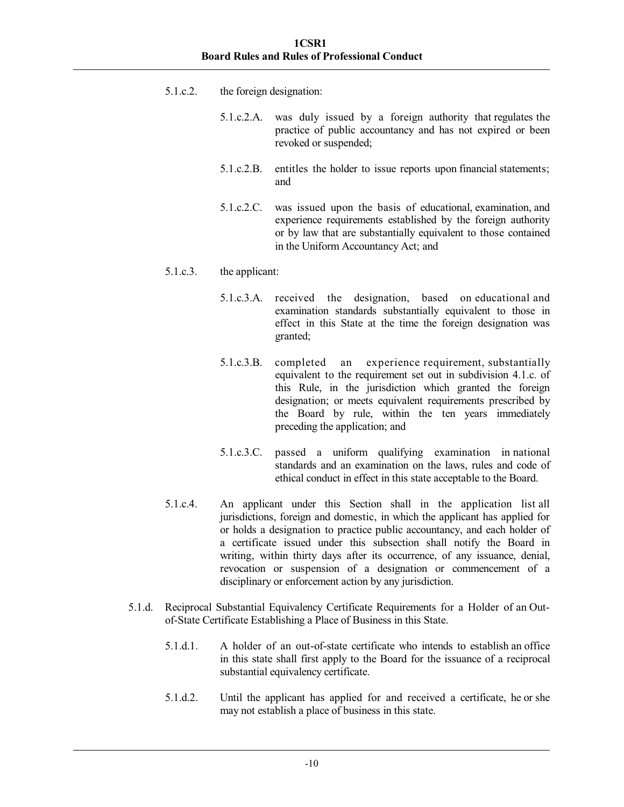- 5.1.c.2. the foreign designation:
	- 5.1.c.2.A. was duly issued by a foreign authority that regulates the practice of public accountancy and has not expired or been revoked or suspended;
	- 5.1.c.2.B. entitles the holder to issue reports upon financial statements; and
	- 5.1.c.2.C. was issued upon the basis of educational, examination, and experience requirements established by the foreign authority or by law that are substantially equivalent to those contained in the Uniform Accountancy Act; and
- 5.1.c.3. the applicant:
	- 5.1.c.3.A. received the designation, based on educational and examination standards substantially equivalent to those in effect in this State at the time the foreign designation was granted;
	- 5.1.c.3.B. completed an experience requirement, substantially equivalent to the requirement set out in subdivision 4.1.c. of this Rule, in the jurisdiction which granted the foreign designation; or meets equivalent requirements prescribed by the Board by rule, within the ten years immediately preceding the application; and
	- 5.1.c.3.C. passed a uniform qualifying examination in national standards and an examination on the laws, rules and code of ethical conduct in effect in this state acceptable to the Board.
- 5.1.c.4. An applicant under this Section shall in the application list all jurisdictions, foreign and domestic, in which the applicant has applied for or holds a designation to practice public accountancy, and each holder of a certificate issued under this subsection shall notify the Board in writing, within thirty days after its occurrence, of any issuance, denial, revocation or suspension of a designation or commencement of a disciplinary or enforcement action by any jurisdiction.
- 5.1.d. Reciprocal Substantial Equivalency Certificate Requirements for a Holder of an Outof-State Certificate Establishing a Place of Business in this State.
	- 5.1.d.1. A holder of an out-of-state certificate who intends to establish an office in this state shall first apply to the Board for the issuance of a reciprocal substantial equivalency certificate.
	- 5.1.d.2. Until the applicant has applied for and received a certificate, he or she may not establish a place of business in this state.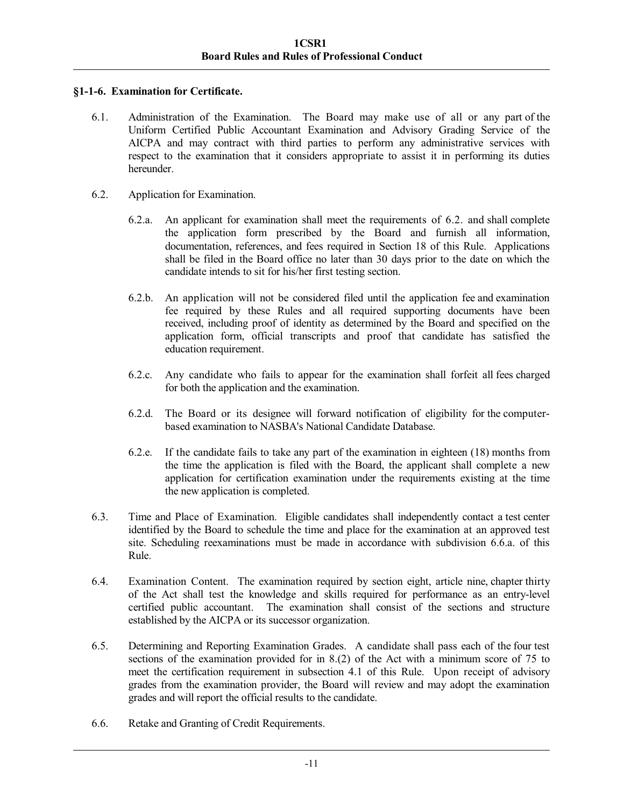# **§1-1-6. Examination for Certificate.**

- 6.1. Administration of the Examination. The Board may make use of all or any part of the Uniform Certified Public Accountant Examination and Advisory Grading Service of the AICPA and may contract with third parties to perform any administrative services with respect to the examination that it considers appropriate to assist it in performing its duties hereunder.
- 6.2. Application for Examination.
	- 6.2.a. An applicant for examination shall meet the requirements of 6.2. and shall complete the application form prescribed by the Board and furnish all information, documentation, references, and fees required in Section 18 of this Rule. Applications shall be filed in the Board office no later than 30 days prior to the date on which the candidate intends to sit for his/her first testing section.
	- 6.2.b. An application will not be considered filed until the application fee and examination fee required by these Rules and all required supporting documents have been received, including proof of identity as determined by the Board and specified on the application form, official transcripts and proof that candidate has satisfied the education requirement.
	- 6.2.c. Any candidate who fails to appear for the examination shall forfeit all fees charged for both the application and the examination.
	- 6.2.d. The Board or its designee will forward notification of eligibility for the computerbased examination to NASBA's National Candidate Database.
	- 6.2.e. If the candidate fails to take any part of the examination in eighteen (18) months from the time the application is filed with the Board, the applicant shall complete a new application for certification examination under the requirements existing at the time the new application is completed.
- 6.3. Time and Place of Examination. Eligible candidates shall independently contact a test center identified by the Board to schedule the time and place for the examination at an approved test site. Scheduling reexaminations must be made in accordance with subdivision 6.6.a. of this Rule.
- 6.4. Examination Content. The examination required by section eight, article nine, chapter thirty of the Act shall test the knowledge and skills required for performance as an entry-level certified public accountant. The examination shall consist of the sections and structure established by the AICPA or its successor organization.
- 6.5. Determining and Reporting Examination Grades. A candidate shall pass each of the four test sections of the examination provided for in 8.(2) of the Act with a minimum score of 75 to meet the certification requirement in subsection 4.1 of this Rule. Upon receipt of advisory grades from the examination provider, the Board will review and may adopt the examination grades and will report the official results to the candidate.
- 6.6. Retake and Granting of Credit Requirements.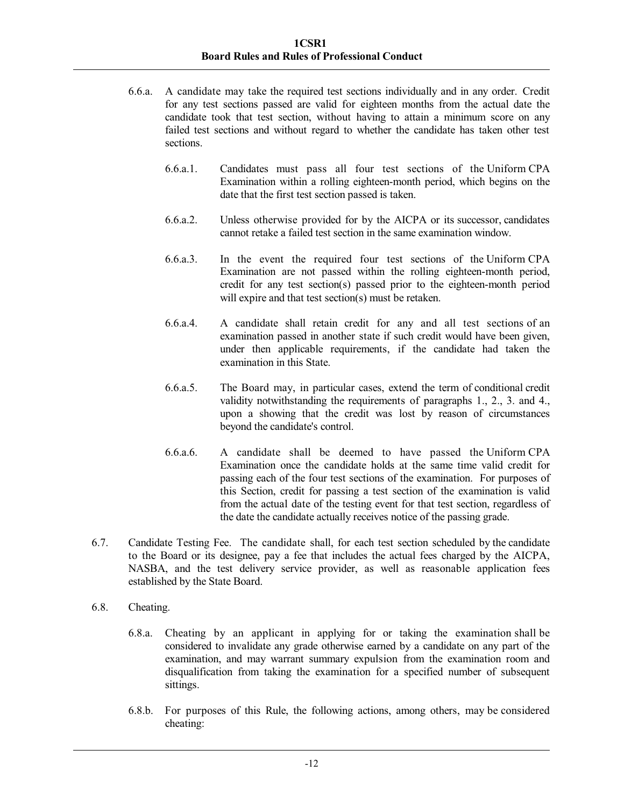- 6.6.a. A candidate may take the required test sections individually and in any order. Credit for any test sections passed are valid for eighteen months from the actual date the candidate took that test section, without having to attain a minimum score on any failed test sections and without regard to whether the candidate has taken other test sections.
	- 6.6.a.1. Candidates must pass all four test sections of the Uniform CPA Examination within a rolling eighteen-month period, which begins on the date that the first test section passed is taken.
	- 6.6.a.2. Unless otherwise provided for by the AICPA or its successor, candidates cannot retake a failed test section in the same examination window.
	- 6.6.a.3. In the event the required four test sections of the Uniform CPA Examination are not passed within the rolling eighteen-month period, credit for any test section(s) passed prior to the eighteen-month period will expire and that test section(s) must be retaken.
	- 6.6.a.4. A candidate shall retain credit for any and all test sections of an examination passed in another state if such credit would have been given, under then applicable requirements, if the candidate had taken the examination in this State.
	- 6.6.a.5. The Board may, in particular cases, extend the term of conditional credit validity notwithstanding the requirements of paragraphs 1., 2., 3. and 4., upon a showing that the credit was lost by reason of circumstances beyond the candidate's control.
	- 6.6.a.6. A candidate shall be deemed to have passed the Uniform CPA Examination once the candidate holds at the same time valid credit for passing each of the four test sections of the examination. For purposes of this Section, credit for passing a test section of the examination is valid from the actual date of the testing event for that test section, regardless of the date the candidate actually receives notice of the passing grade.
- 6.7. Candidate Testing Fee. The candidate shall, for each test section scheduled by the candidate to the Board or its designee, pay a fee that includes the actual fees charged by the AICPA, NASBA, and the test delivery service provider, as well as reasonable application fees established by the State Board.
- 6.8. Cheating.
	- 6.8.a. Cheating by an applicant in applying for or taking the examination shall be considered to invalidate any grade otherwise earned by a candidate on any part of the examination, and may warrant summary expulsion from the examination room and disqualification from taking the examination for a specified number of subsequent sittings.
	- 6.8.b. For purposes of this Rule, the following actions, among others, may be considered cheating: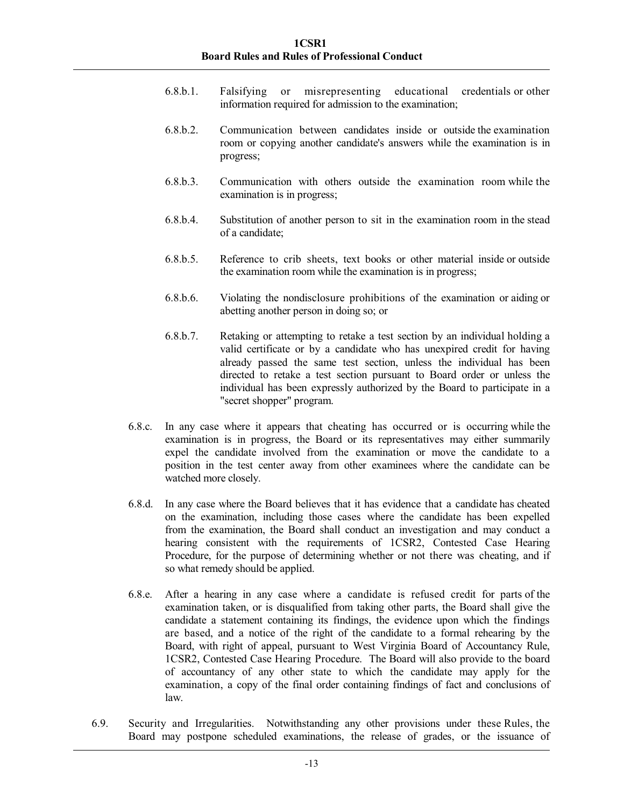- 6.8.b.1. Falsifying or misrepresenting educational credentials or other information required for admission to the examination;
- 6.8.b.2. Communication between candidates inside or outside the examination room or copying another candidate's answers while the examination is in progress;
- 6.8.b.3. Communication with others outside the examination room while the examination is in progress;
- 6.8.b.4. Substitution of another person to sit in the examination room in the stead of a candidate;
- 6.8.b.5. Reference to crib sheets, text books or other material inside or outside the examination room while the examination is in progress;
- 6.8.b.6. Violating the nondisclosure prohibitions of the examination or aiding or abetting another person in doing so; or
- 6.8.b.7. Retaking or attempting to retake a test section by an individual holding a valid certificate or by a candidate who has unexpired credit for having already passed the same test section, unless the individual has been directed to retake a test section pursuant to Board order or unless the individual has been expressly authorized by the Board to participate in a "secret shopper" program.
- 6.8.c. In any case where it appears that cheating has occurred or is occurring while the examination is in progress, the Board or its representatives may either summarily expel the candidate involved from the examination or move the candidate to a position in the test center away from other examinees where the candidate can be watched more closely.
- 6.8.d. In any case where the Board believes that it has evidence that a candidate has cheated on the examination, including those cases where the candidate has been expelled from the examination, the Board shall conduct an investigation and may conduct a hearing consistent with the requirements of 1CSR2, Contested Case Hearing Procedure, for the purpose of determining whether or not there was cheating, and if so what remedy should be applied.
- 6.8.e. After a hearing in any case where a candidate is refused credit for parts of the examination taken, or is disqualified from taking other parts, the Board shall give the candidate a statement containing its findings, the evidence upon which the findings are based, and a notice of the right of the candidate to a formal rehearing by the Board, with right of appeal, pursuant to West Virginia Board of Accountancy Rule, 1CSR2, Contested Case Hearing Procedure. The Board will also provide to the board of accountancy of any other state to which the candidate may apply for the examination, a copy of the final order containing findings of fact and conclusions of law.
- 6.9. Security and Irregularities. Notwithstanding any other provisions under these Rules, the Board may postpone scheduled examinations, the release of grades, or the issuance of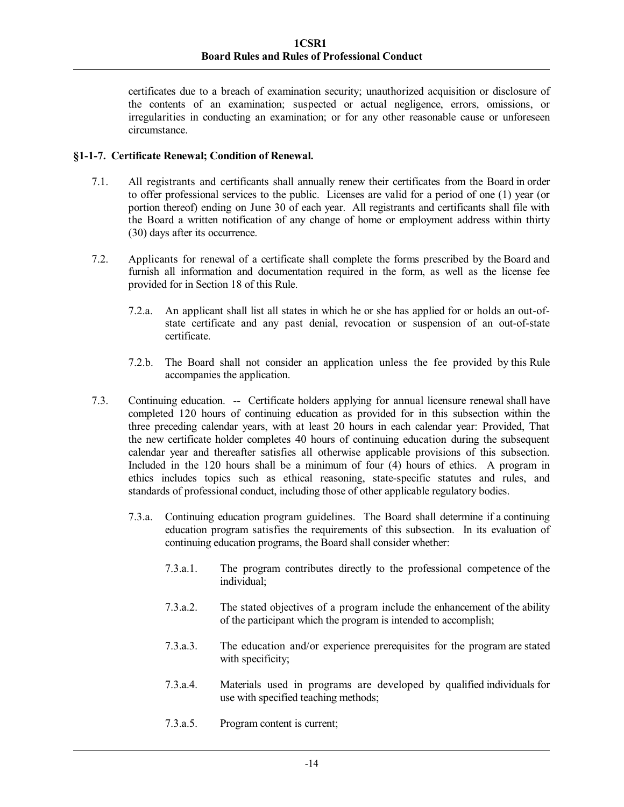certificates due to a breach of examination security; unauthorized acquisition or disclosure of the contents of an examination; suspected or actual negligence, errors, omissions, or irregularities in conducting an examination; or for any other reasonable cause or unforeseen circumstance.

# **§1-1-7. Certificate Renewal; Condition of Renewal.**

- 7.1. All registrants and certificants shall annually renew their certificates from the Board in order to offer professional services to the public. Licenses are valid for a period of one (1) year (or portion thereof) ending on June 30 of each year. All registrants and certificants shall file with the Board a written notification of any change of home or employment address within thirty (30) days after its occurrence.
- 7.2. Applicants for renewal of a certificate shall complete the forms prescribed by the Board and furnish all information and documentation required in the form, as well as the license fee provided for in Section 18 of this Rule.
	- 7.2.a. An applicant shall list all states in which he or she has applied for or holds an out-ofstate certificate and any past denial, revocation or suspension of an out-of-state certificate.
	- 7.2.b. The Board shall not consider an application unless the fee provided by this Rule accompanies the application.
- 7.3. Continuing education. -- Certificate holders applying for annual licensure renewal shall have completed 120 hours of continuing education as provided for in this subsection within the three preceding calendar years, with at least 20 hours in each calendar year: Provided, That the new certificate holder completes 40 hours of continuing education during the subsequent calendar year and thereafter satisfies all otherwise applicable provisions of this subsection. Included in the 120 hours shall be a minimum of four (4) hours of ethics. A program in ethics includes topics such as ethical reasoning, state-specific statutes and rules, and standards of professional conduct, including those of other applicable regulatory bodies.
	- 7.3.a. Continuing education program guidelines. The Board shall determine if a continuing education program satisfies the requirements of this subsection. In its evaluation of continuing education programs, the Board shall consider whether:
		- 7.3.a.1. The program contributes directly to the professional competence of the individual;
		- 7.3.a.2. The stated objectives of a program include the enhancement of the ability of the participant which the program is intended to accomplish;
		- 7.3.a.3. The education and/or experience prerequisites for the program are stated with specificity;
		- 7.3.a.4. Materials used in programs are developed by qualified individuals for use with specified teaching methods;
		- 7.3.a.5. Program content is current;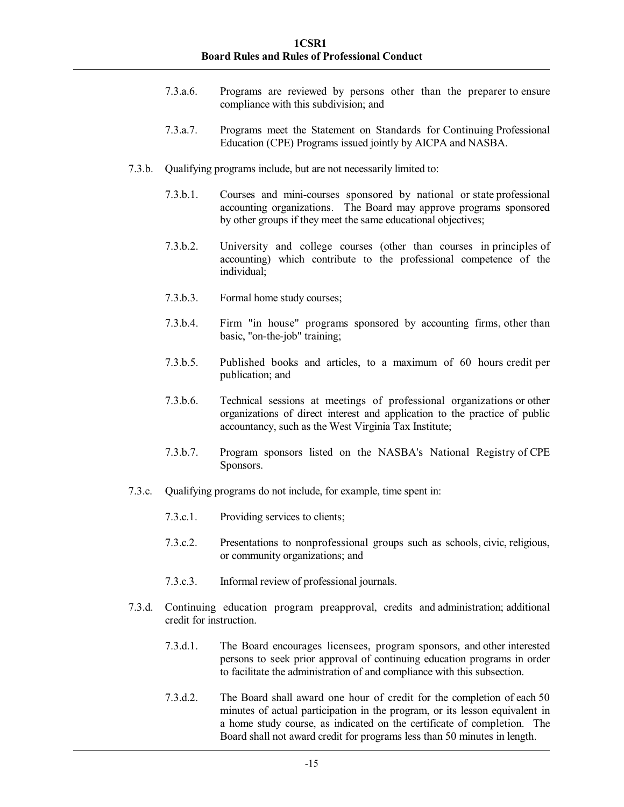- 7.3.a.6. Programs are reviewed by persons other than the preparer to ensure compliance with this subdivision; and
- 7.3.a.7. Programs meet the Statement on Standards for Continuing Professional Education (CPE) Programs issued jointly by AICPA and NASBA.
- 7.3.b. Qualifying programs include, but are not necessarily limited to:
	- 7.3.b.1. Courses and mini-courses sponsored by national or state professional accounting organizations. The Board may approve programs sponsored by other groups if they meet the same educational objectives;
	- 7.3.b.2. University and college courses (other than courses in principles of accounting) which contribute to the professional competence of the individual;
	- 7.3.b.3. Formal home study courses;
	- 7.3.b.4. Firm "in house" programs sponsored by accounting firms, other than basic, "on-the-job" training;
	- 7.3.b.5. Published books and articles, to a maximum of 60 hours credit per publication; and
	- 7.3.b.6. Technical sessions at meetings of professional organizations or other organizations of direct interest and application to the practice of public accountancy, such as the West Virginia Tax Institute;
	- 7.3.b.7. Program sponsors listed on the NASBA's National Registry of CPE Sponsors.
- 7.3.c. Qualifying programs do not include, for example, time spent in:
	- 7.3.c.1. Providing services to clients;
	- 7.3.c.2. Presentations to nonprofessional groups such as schools, civic, religious, or community organizations; and
	- 7.3.c.3. Informal review of professional journals.
- 7.3.d. Continuing education program preapproval, credits and administration; additional credit for instruction.
	- 7.3.d.1. The Board encourages licensees, program sponsors, and other interested persons to seek prior approval of continuing education programs in order to facilitate the administration of and compliance with this subsection.
	- 7.3.d.2. The Board shall award one hour of credit for the completion of each 50 minutes of actual participation in the program, or its lesson equivalent in a home study course, as indicated on the certificate of completion. The Board shall not award credit for programs less than 50 minutes in length.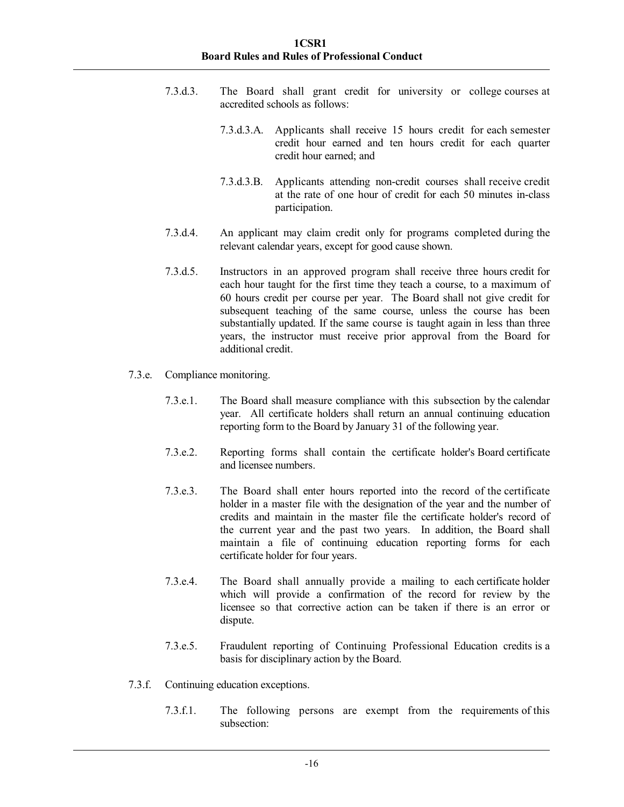- 7.3.d.3. The Board shall grant credit for university or college courses at accredited schools as follows:
	- 7.3.d.3.A. Applicants shall receive 15 hours credit for each semester credit hour earned and ten hours credit for each quarter credit hour earned; and
	- 7.3.d.3.B. Applicants attending non-credit courses shall receive credit at the rate of one hour of credit for each 50 minutes in-class participation.
- 7.3.d.4. An applicant may claim credit only for programs completed during the relevant calendar years, except for good cause shown.
- 7.3.d.5. Instructors in an approved program shall receive three hours credit for each hour taught for the first time they teach a course, to a maximum of 60 hours credit per course per year. The Board shall not give credit for subsequent teaching of the same course, unless the course has been substantially updated. If the same course is taught again in less than three years, the instructor must receive prior approval from the Board for additional credit.
- 7.3.e. Compliance monitoring.
	- 7.3.e.1. The Board shall measure compliance with this subsection by the calendar year. All certificate holders shall return an annual continuing education reporting form to the Board by January 31 of the following year.
	- 7.3.e.2. Reporting forms shall contain the certificate holder's Board certificate and licensee numbers.
	- 7.3.e.3. The Board shall enter hours reported into the record of the certificate holder in a master file with the designation of the year and the number of credits and maintain in the master file the certificate holder's record of the current year and the past two years. In addition, the Board shall maintain a file of continuing education reporting forms for each certificate holder for four years.
	- 7.3.e.4. The Board shall annually provide a mailing to each certificate holder which will provide a confirmation of the record for review by the licensee so that corrective action can be taken if there is an error or dispute.
	- 7.3.e.5. Fraudulent reporting of Continuing Professional Education credits is a basis for disciplinary action by the Board.
- 7.3.f. Continuing education exceptions.
	- 7.3.f.1. The following persons are exempt from the requirements of this subsection: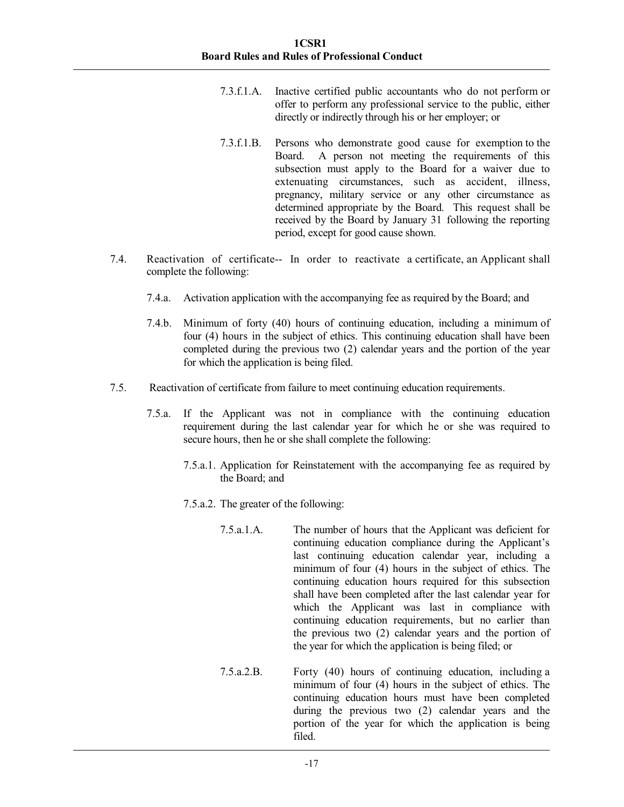- 7.3.f.1.A. Inactive certified public accountants who do not perform or offer to perform any professional service to the public, either directly or indirectly through his or her employer; or
- 7.3.f.1.B. Persons who demonstrate good cause for exemption to the Board. A person not meeting the requirements of this subsection must apply to the Board for a waiver due to extenuating circumstances, such as accident, illness, pregnancy, military service or any other circumstance as determined appropriate by the Board. This request shall be received by the Board by January 31 following the reporting period, except for good cause shown.
- 7.4. Reactivation of certificate-- In order to reactivate a certificate, an Applicant shall complete the following:
	- 7.4.a. Activation application with the accompanying fee as required by the Board; and
	- 7.4.b. Minimum of forty (40) hours of continuing education, including a minimum of four (4) hours in the subject of ethics. This continuing education shall have been completed during the previous two (2) calendar years and the portion of the year for which the application is being filed.
- 7.5. Reactivation of certificate from failure to meet continuing education requirements.
	- 7.5.a. If the Applicant was not in compliance with the continuing education requirement during the last calendar year for which he or she was required to secure hours, then he or she shall complete the following:
		- 7.5.a.1. Application for Reinstatement with the accompanying fee as required by the Board; and
		- 7.5.a.2. The greater of the following:
			- 7.5.a.1.A. The number of hours that the Applicant was deficient for continuing education compliance during the Applicant's last continuing education calendar year, including a minimum of four (4) hours in the subject of ethics. The continuing education hours required for this subsection shall have been completed after the last calendar year for which the Applicant was last in compliance with continuing education requirements, but no earlier than the previous two (2) calendar years and the portion of the year for which the application is being filed; or
			- 7.5.a.2.B. Forty (40) hours of continuing education, including a minimum of four (4) hours in the subject of ethics. The continuing education hours must have been completed during the previous two (2) calendar years and the portion of the year for which the application is being filed.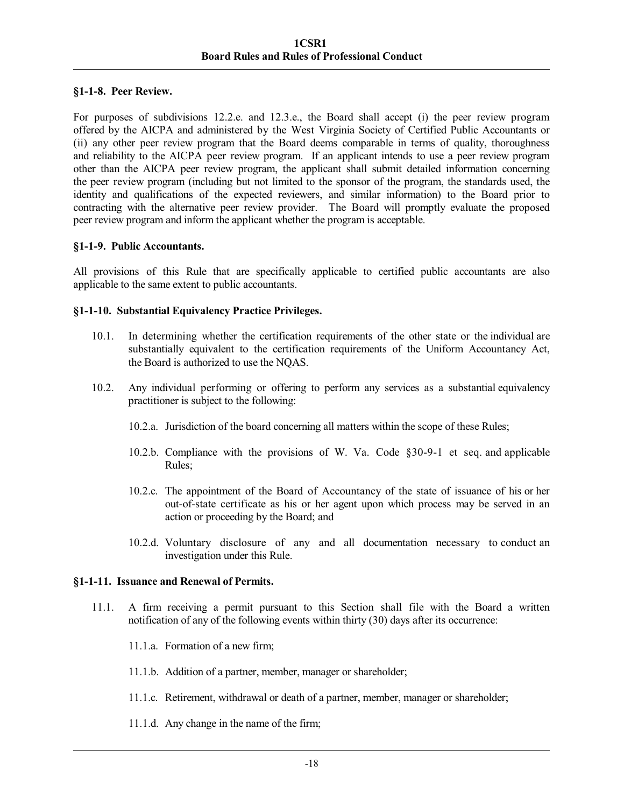### **§1-1-8. Peer Review.**

For purposes of subdivisions 12.2.e. and 12.3.e., the Board shall accept (i) the peer review program offered by the AICPA and administered by the West Virginia Society of Certified Public Accountants or (ii) any other peer review program that the Board deems comparable in terms of quality, thoroughness and reliability to the AICPA peer review program. If an applicant intends to use a peer review program other than the AICPA peer review program, the applicant shall submit detailed information concerning the peer review program (including but not limited to the sponsor of the program, the standards used, the identity and qualifications of the expected reviewers, and similar information) to the Board prior to contracting with the alternative peer review provider. The Board will promptly evaluate the proposed peer review program and inform the applicant whether the program is acceptable.

# **§1-1-9. Public Accountants.**

All provisions of this Rule that are specifically applicable to certified public accountants are also applicable to the same extent to public accountants.

# **§1-1-10. Substantial Equivalency Practice Privileges.**

- 10.1. In determining whether the certification requirements of the other state or the individual are substantially equivalent to the certification requirements of the Uniform Accountancy Act, the Board is authorized to use the NQAS.
- 10.2. Any individual performing or offering to perform any services as a substantial equivalency practitioner is subject to the following:
	- 10.2.a. Jurisdiction of the board concerning all matters within the scope of these Rules;
	- 10.2.b. Compliance with the provisions of W. Va. Code §30-9-1 et seq. and applicable Rules;
	- 10.2.c. The appointment of the Board of Accountancy of the state of issuance of his or her out-of-state certificate as his or her agent upon which process may be served in an action or proceeding by the Board; and
	- 10.2.d. Voluntary disclosure of any and all documentation necessary to conduct an investigation under this Rule.

### **§1-1-11. Issuance and Renewal of Permits.**

- 11.1. A firm receiving a permit pursuant to this Section shall file with the Board a written notification of any of the following events within thirty (30) days after its occurrence:
	- 11.1.a. Formation of a new firm;
	- 11.1.b. Addition of a partner, member, manager or shareholder;
	- 11.1.c. Retirement, withdrawal or death of a partner, member, manager or shareholder;
	- 11.1.d. Any change in the name of the firm;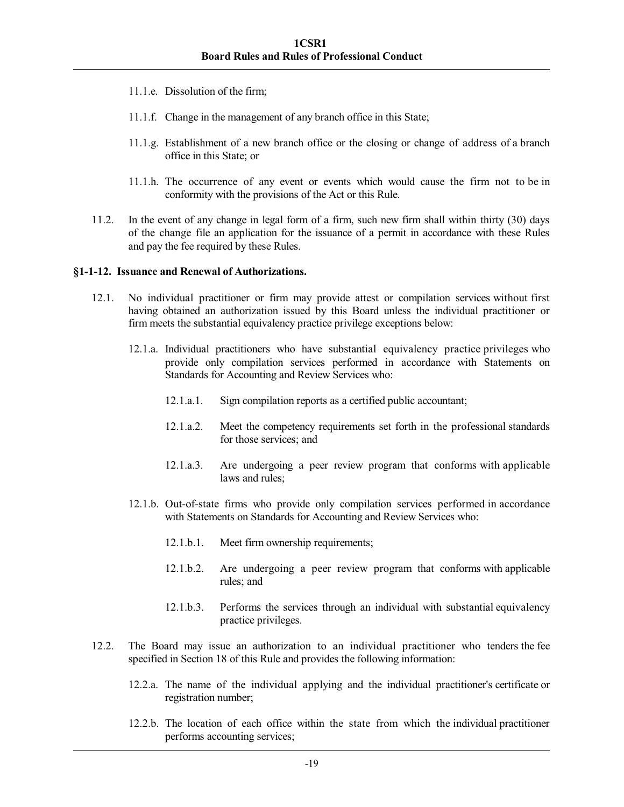- 11.1.e. Dissolution of the firm;
- 11.1.f. Change in the management of any branch office in this State;
- 11.1.g. Establishment of a new branch office or the closing or change of address of a branch office in this State; or
- 11.1.h. The occurrence of any event or events which would cause the firm not to be in conformity with the provisions of the Act or this Rule.
- 11.2. In the event of any change in legal form of a firm, such new firm shall within thirty (30) days of the change file an application for the issuance of a permit in accordance with these Rules and pay the fee required by these Rules.

#### **§1-1-12. Issuance and Renewal of Authorizations.**

- 12.1. No individual practitioner or firm may provide attest or compilation services without first having obtained an authorization issued by this Board unless the individual practitioner or firm meets the substantial equivalency practice privilege exceptions below:
	- 12.1.a. Individual practitioners who have substantial equivalency practice privileges who provide only compilation services performed in accordance with Statements on Standards for Accounting and Review Services who:
		- 12.1.a.1. Sign compilation reports as a certified public accountant;
		- 12.1.a.2. Meet the competency requirements set forth in the professional standards for those services; and
		- 12.1.a.3. Are undergoing a peer review program that conforms with applicable laws and rules;
	- 12.1.b. Out-of-state firms who provide only compilation services performed in accordance with Statements on Standards for Accounting and Review Services who:
		- 12.1.b.1. Meet firm ownership requirements;
		- 12.1.b.2. Are undergoing a peer review program that conforms with applicable rules; and
		- 12.1.b.3. Performs the services through an individual with substantial equivalency practice privileges.
- 12.2. The Board may issue an authorization to an individual practitioner who tenders the fee specified in Section 18 of this Rule and provides the following information:
	- 12.2.a. The name of the individual applying and the individual practitioner's certificate or registration number;
	- 12.2.b. The location of each office within the state from which the individual practitioner performs accounting services;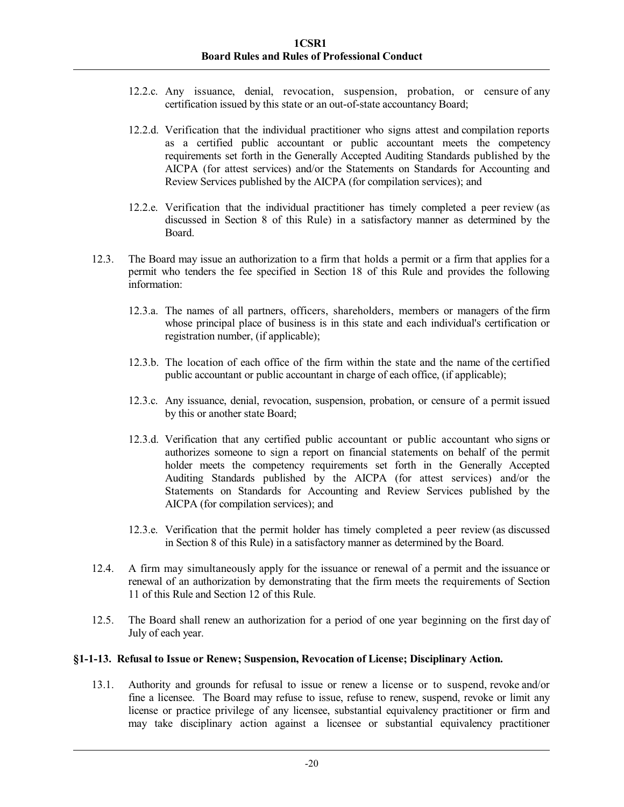- 12.2.c. Any issuance, denial, revocation, suspension, probation, or censure of any certification issued by this state or an out-of-state accountancy Board;
- 12.2.d. Verification that the individual practitioner who signs attest and compilation reports as a certified public accountant or public accountant meets the competency requirements set forth in the Generally Accepted Auditing Standards published by the AICPA (for attest services) and/or the Statements on Standards for Accounting and Review Services published by the AICPA (for compilation services); and
- 12.2.e. Verification that the individual practitioner has timely completed a peer review (as discussed in Section 8 of this Rule) in a satisfactory manner as determined by the Board.
- 12.3. The Board may issue an authorization to a firm that holds a permit or a firm that applies for a permit who tenders the fee specified in Section 18 of this Rule and provides the following information:
	- 12.3.a. The names of all partners, officers, shareholders, members or managers of the firm whose principal place of business is in this state and each individual's certification or registration number, (if applicable);
	- 12.3.b. The location of each office of the firm within the state and the name of the certified public accountant or public accountant in charge of each office, (if applicable);
	- 12.3.c. Any issuance, denial, revocation, suspension, probation, or censure of a permit issued by this or another state Board;
	- 12.3.d. Verification that any certified public accountant or public accountant who signs or authorizes someone to sign a report on financial statements on behalf of the permit holder meets the competency requirements set forth in the Generally Accepted Auditing Standards published by the AICPA (for attest services) and/or the Statements on Standards for Accounting and Review Services published by the AICPA (for compilation services); and
	- 12.3.e. Verification that the permit holder has timely completed a peer review (as discussed in Section 8 of this Rule) in a satisfactory manner as determined by the Board.
- 12.4. A firm may simultaneously apply for the issuance or renewal of a permit and the issuance or renewal of an authorization by demonstrating that the firm meets the requirements of Section 11 of this Rule and Section 12 of this Rule.
- 12.5. The Board shall renew an authorization for a period of one year beginning on the first day of July of each year.

### **§1-1-13. Refusal to Issue or Renew; Suspension, Revocation of License; Disciplinary Action.**

13.1. Authority and grounds for refusal to issue or renew a license or to suspend, revoke and/or fine a licensee. The Board may refuse to issue, refuse to renew, suspend, revoke or limit any license or practice privilege of any licensee, substantial equivalency practitioner or firm and may take disciplinary action against a licensee or substantial equivalency practitioner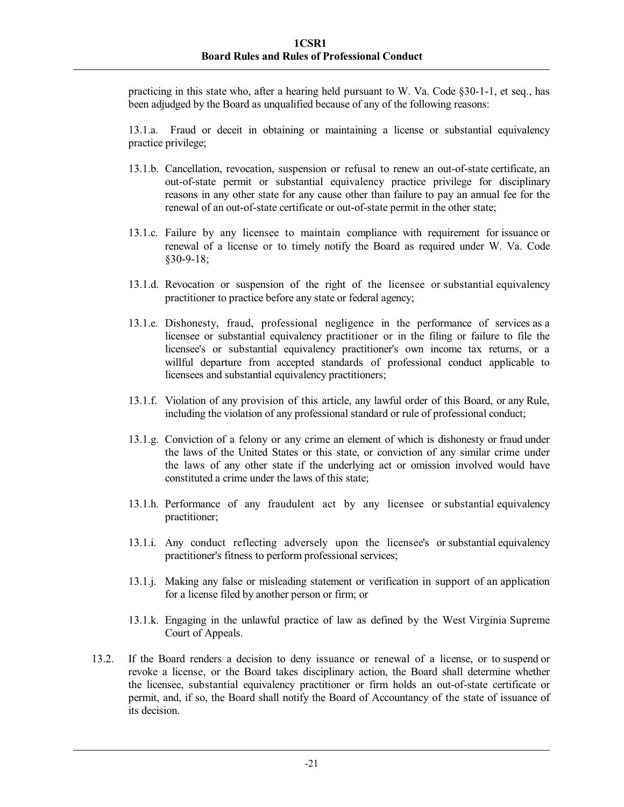practicing in this state who, after a hearing held pursuant to W. Va. Code §30-1-1, et seq., has been adjudged by the Board as unqualified because of any of the following reasons:

13.1.a. Fraud or deceit in obtaining or maintaining a license or substantial equivalency practice privilege;

- 13.1.b. Cancellation, revocation, suspension or refusal to renew an out-of-state certificate, an out-of-state permit or substantial equivalency practice privilege for disciplinary reasons in any other state for any cause other than failure to pay an annual fee for the renewal of an out-of-state certificate or out-of-state permit in the other state;
- 13.1.c. Failure by any licensee to maintain compliance with requirement for issuance or renewal of a license or to timely notify the Board as required under W. Va. Code §30-9-18;
- 13.1.d. Revocation or suspension of the right of the licensee or substantial equivalency practitioner to practice before any state or federal agency;
- 13.1.e. Dishonesty, fraud, professional negligence in the performance of services as a licensee or substantial equivalency practitioner or in the filing or failure to file the licensee's or substantial equivalency practitioner's own income tax returns, or a willful departure from accepted standards of professional conduct applicable to licensees and substantial equivalency practitioners;
- 13.1.f. Violation of any provision of this article, any lawful order of this Board, or any Rule, including the violation of any professional standard or rule of professional conduct;
- 13.1.g. Conviction of a felony or any crime an element of which is dishonesty or fraud under the laws of the United States or this state, or conviction of any similar crime under the laws of any other state if the underlying act or omission involved would have constituted a crime under the laws of this state;
- 13.1.h. Performance of any fraudulent act by any licensee or substantial equivalency practitioner;
- 13.1.i. Any conduct reflecting adversely upon the licensee's or substantial equivalency practitioner's fitness to perform professional services;
- 13.1.j. Making any false or misleading statement or verification in support of an application for a license filed by another person or firm; or
- 13.1.k. Engaging in the unlawful practice of law as defined by the West Virginia Supreme Court of Appeals.
- 13.2. If the Board renders a decision to deny issuance or renewal of a license, or to suspend or revoke a license, or the Board takes disciplinary action, the Board shall determine whether the licensee, substantial equivalency practitioner or firm holds an out-of-state certificate or permit, and, if so, the Board shall notify the Board of Accountancy of the state of issuance of its decision.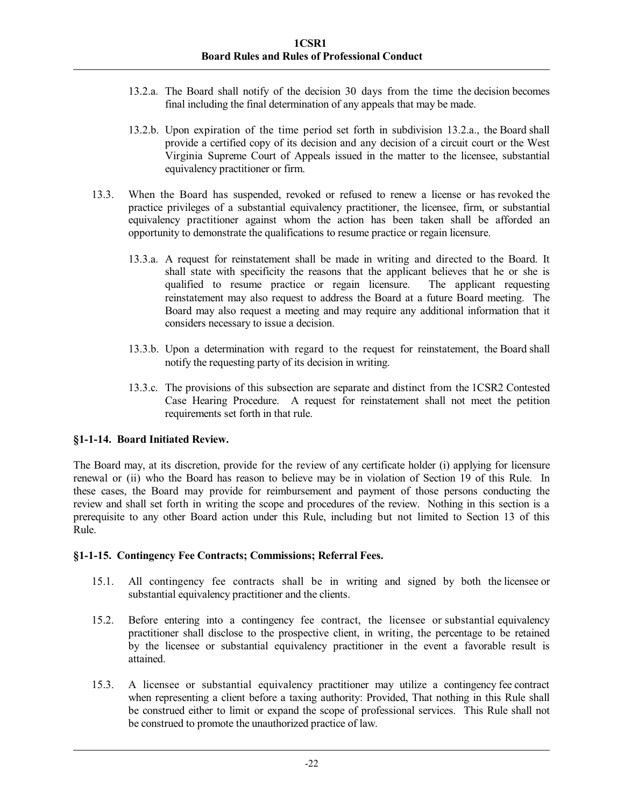- 13.2.a. The Board shall notify of the decision 30 days from the time the decision becomes final including the final determination of any appeals that may be made.
- 13.2.b. Upon expiration of the time period set forth in subdivision 13.2.a., the Board shall provide a certified copy of its decision and any decision of a circuit court or the West Virginia Supreme Court of Appeals issued in the matter to the licensee, substantial equivalency practitioner or firm.
- 13.3. When the Board has suspended, revoked or refused to renew a license or has revoked the practice privileges of a substantial equivalency practitioner, the licensee, firm, or substantial equivalency practitioner against whom the action has been taken shall be afforded an opportunity to demonstrate the qualifications to resume practice or regain licensure.
	- 13.3.a. A request for reinstatement shall be made in writing and directed to the Board. It shall state with specificity the reasons that the applicant believes that he or she is qualified to resume practice or regain licensure. The applicant requesting reinstatement may also request to address the Board at a future Board meeting. The Board may also request a meeting and may require any additional information that it considers necessary to issue a decision.
	- 13.3.b. Upon a determination with regard to the request for reinstatement, the Board shall notify the requesting party of its decision in writing.
	- 13.3.c. The provisions of this subsection are separate and distinct from the 1CSR2 Contested Case Hearing Procedure. A request for reinstatement shall not meet the petition requirements set forth in that rule.

### **§1-1-14. Board Initiated Review.**

The Board may, at its discretion, provide for the review of any certificate holder (i) applying for licensure renewal or (ii) who the Board has reason to believe may be in violation of Section 19 of this Rule. In these cases, the Board may provide for reimbursement and payment of those persons conducting the review and shall set forth in writing the scope and procedures of the review. Nothing in this section is a prerequisite to any other Board action under this Rule, including but not limited to Section 13 of this Rule.

### **§1-1-15. Contingency Fee Contracts; Commissions; Referral Fees.**

- 15.1. All contingency fee contracts shall be in writing and signed by both the licensee or substantial equivalency practitioner and the clients.
- 15.2. Before entering into a contingency fee contract, the licensee or substantial equivalency practitioner shall disclose to the prospective client, in writing, the percentage to be retained by the licensee or substantial equivalency practitioner in the event a favorable result is attained.
- 15.3. A licensee or substantial equivalency practitioner may utilize a contingency fee contract when representing a client before a taxing authority: Provided, That nothing in this Rule shall be construed either to limit or expand the scope of professional services. This Rule shall not be construed to promote the unauthorized practice of law.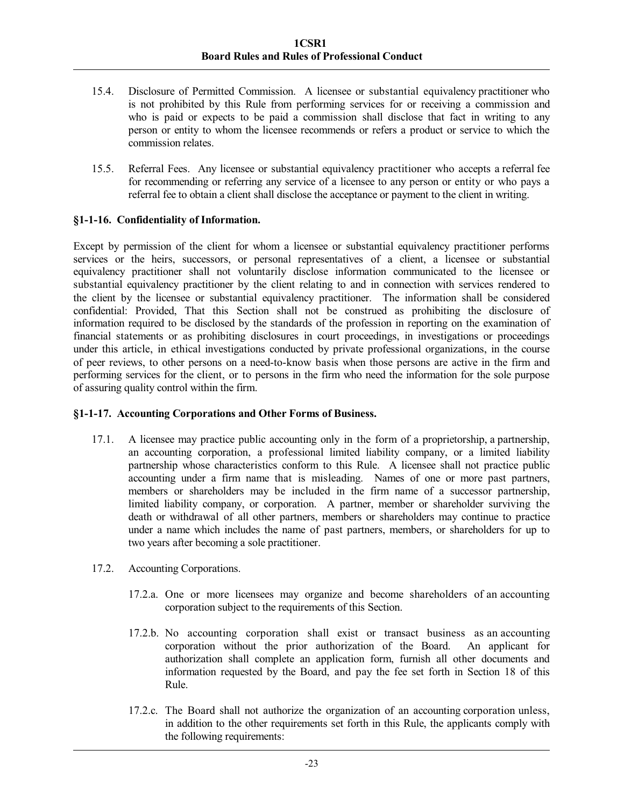- 15.4. Disclosure of Permitted Commission. A licensee or substantial equivalency practitioner who is not prohibited by this Rule from performing services for or receiving a commission and who is paid or expects to be paid a commission shall disclose that fact in writing to any person or entity to whom the licensee recommends or refers a product or service to which the commission relates.
- 15.5. Referral Fees. Any licensee or substantial equivalency practitioner who accepts a referral fee for recommending or referring any service of a licensee to any person or entity or who pays a referral fee to obtain a client shall disclose the acceptance or payment to the client in writing.

# **§1-1-16. Confidentiality of Information.**

Except by permission of the client for whom a licensee or substantial equivalency practitioner performs services or the heirs, successors, or personal representatives of a client, a licensee or substantial equivalency practitioner shall not voluntarily disclose information communicated to the licensee or substantial equivalency practitioner by the client relating to and in connection with services rendered to the client by the licensee or substantial equivalency practitioner. The information shall be considered confidential: Provided, That this Section shall not be construed as prohibiting the disclosure of information required to be disclosed by the standards of the profession in reporting on the examination of financial statements or as prohibiting disclosures in court proceedings, in investigations or proceedings under this article, in ethical investigations conducted by private professional organizations, in the course of peer reviews, to other persons on a need-to-know basis when those persons are active in the firm and performing services for the client, or to persons in the firm who need the information for the sole purpose of assuring quality control within the firm.

### **§1-1-17. Accounting Corporations and Other Forms of Business.**

- 17.1. A licensee may practice public accounting only in the form of a proprietorship, a partnership, an accounting corporation, a professional limited liability company, or a limited liability partnership whose characteristics conform to this Rule. A licensee shall not practice public accounting under a firm name that is misleading. Names of one or more past partners, members or shareholders may be included in the firm name of a successor partnership, limited liability company, or corporation. A partner, member or shareholder surviving the death or withdrawal of all other partners, members or shareholders may continue to practice under a name which includes the name of past partners, members, or shareholders for up to two years after becoming a sole practitioner.
- 17.2. Accounting Corporations.
	- 17.2.a. One or more licensees may organize and become shareholders of an accounting corporation subject to the requirements of this Section.
	- 17.2.b. No accounting corporation shall exist or transact business as an accounting corporation without the prior authorization of the Board. An applicant for authorization shall complete an application form, furnish all other documents and information requested by the Board, and pay the fee set forth in Section 18 of this Rule.
	- 17.2.c. The Board shall not authorize the organization of an accounting corporation unless, in addition to the other requirements set forth in this Rule, the applicants comply with the following requirements: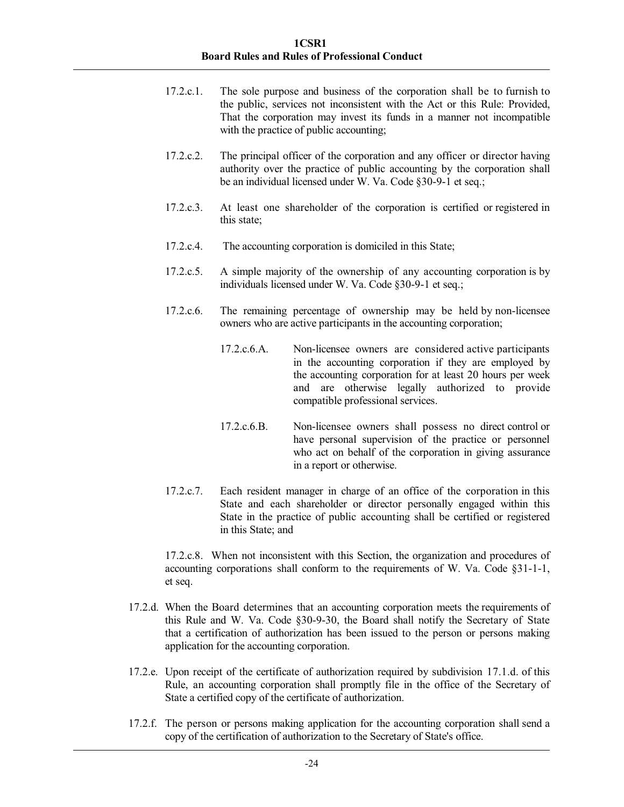- 17.2.c.1. The sole purpose and business of the corporation shall be to furnish to the public, services not inconsistent with the Act or this Rule: Provided, That the corporation may invest its funds in a manner not incompatible with the practice of public accounting;
- 17.2.c.2. The principal officer of the corporation and any officer or director having authority over the practice of public accounting by the corporation shall be an individual licensed under W. Va. Code §30-9-1 et seq.;
- 17.2.c.3. At least one shareholder of the corporation is certified or registered in this state;
- 17.2.c.4. The accounting corporation is domiciled in this State;
- 17.2.c.5. A simple majority of the ownership of any accounting corporation is by individuals licensed under W. Va. Code §30-9-1 et seq.;
- 17.2.c.6. The remaining percentage of ownership may be held by non-licensee owners who are active participants in the accounting corporation;
	- 17.2.c.6.A. Non-licensee owners are considered active participants in the accounting corporation if they are employed by the accounting corporation for at least 20 hours per week and are otherwise legally authorized to provide compatible professional services.
	- 17.2.c.6.B. Non-licensee owners shall possess no direct control or have personal supervision of the practice or personnel who act on behalf of the corporation in giving assurance in a report or otherwise.
- 17.2.c.7. Each resident manager in charge of an office of the corporation in this State and each shareholder or director personally engaged within this State in the practice of public accounting shall be certified or registered in this State; and

17.2.c.8. When not inconsistent with this Section, the organization and procedures of accounting corporations shall conform to the requirements of W. Va. Code §31-1-1, et seq.

- 17.2.d. When the Board determines that an accounting corporation meets the requirements of this Rule and W. Va. Code §30-9-30, the Board shall notify the Secretary of State that a certification of authorization has been issued to the person or persons making application for the accounting corporation.
- 17.2.e. Upon receipt of the certificate of authorization required by subdivision 17.1.d. of this Rule, an accounting corporation shall promptly file in the office of the Secretary of State a certified copy of the certificate of authorization.
- 17.2.f. The person or persons making application for the accounting corporation shall send a copy of the certification of authorization to the Secretary of State's office.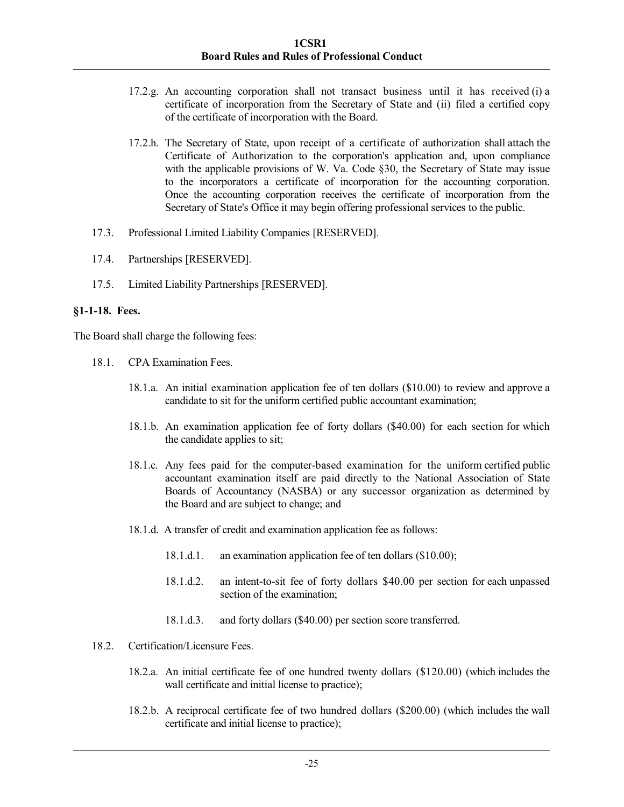- 17.2.g. An accounting corporation shall not transact business until it has received (i) a certificate of incorporation from the Secretary of State and (ii) filed a certified copy of the certificate of incorporation with the Board.
- 17.2.h. The Secretary of State, upon receipt of a certificate of authorization shall attach the Certificate of Authorization to the corporation's application and, upon compliance with the applicable provisions of W. Va. Code §30, the Secretary of State may issue to the incorporators a certificate of incorporation for the accounting corporation. Once the accounting corporation receives the certificate of incorporation from the Secretary of State's Office it may begin offering professional services to the public.
- 17.3. Professional Limited Liability Companies [RESERVED].
- 17.4. Partnerships [RESERVED].
- 17.5. Limited Liability Partnerships [RESERVED].

# **§1-1-18. Fees.**

The Board shall charge the following fees:

- 18.1. CPA Examination Fees.
	- 18.1.a. An initial examination application fee of ten dollars (\$10.00) to review and approve a candidate to sit for the uniform certified public accountant examination;
	- 18.1.b. An examination application fee of forty dollars (\$40.00) for each section for which the candidate applies to sit;
	- 18.1.c. Any fees paid for the computer-based examination for the uniform certified public accountant examination itself are paid directly to the National Association of State Boards of Accountancy (NASBA) or any successor organization as determined by the Board and are subject to change; and
	- 18.1.d. A transfer of credit and examination application fee as follows:
		- 18.1.d.1. an examination application fee of ten dollars (\$10.00);
		- 18.1.d.2. an intent-to-sit fee of forty dollars \$40.00 per section for each unpassed section of the examination;
		- 18.1.d.3. and forty dollars (\$40.00) per section score transferred.
- 18.2. Certification/Licensure Fees.
	- 18.2.a. An initial certificate fee of one hundred twenty dollars (\$120.00) (which includes the wall certificate and initial license to practice);
	- 18.2.b. A reciprocal certificate fee of two hundred dollars (\$200.00) (which includes the wall certificate and initial license to practice);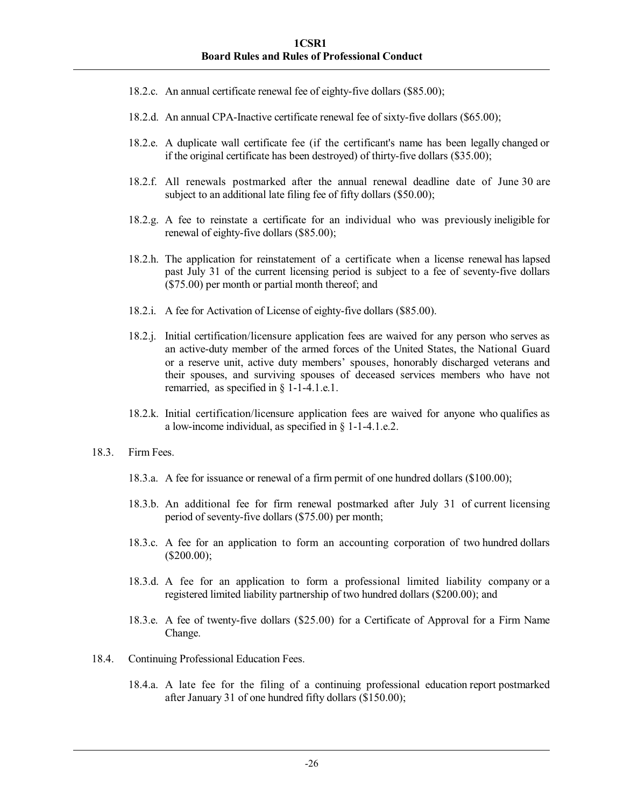- 18.2.c. An annual certificate renewal fee of eighty-five dollars (\$85.00);
- 18.2.d. An annual CPA-Inactive certificate renewal fee of sixty-five dollars (\$65.00);
- 18.2.e. A duplicate wall certificate fee (if the certificant's name has been legally changed or if the original certificate has been destroyed) of thirty-five dollars (\$35.00);
- 18.2.f. All renewals postmarked after the annual renewal deadline date of June 30 are subject to an additional late filing fee of fifty dollars (\$50.00);
- 18.2.g. A fee to reinstate a certificate for an individual who was previously ineligible for renewal of eighty-five dollars (\$85.00);
- 18.2.h. The application for reinstatement of a certificate when a license renewal has lapsed past July 31 of the current licensing period is subject to a fee of seventy-five dollars (\$75.00) per month or partial month thereof; and
- 18.2.i. A fee for Activation of License of eighty-five dollars (\$85.00).
- 18.2.j. Initial certification/licensure application fees are waived for any person who serves as an active-duty member of the armed forces of the United States, the National Guard or a reserve unit, active duty members' spouses, honorably discharged veterans and their spouses, and surviving spouses of deceased services members who have not remarried, as specified in § 1-1-4.1.e.1.
- 18.2.k. Initial certification/licensure application fees are waived for anyone who qualifies as a low-income individual, as specified in § 1-1-4.1.e.2.
- 18.3. Firm Fees.
	- 18.3.a. A fee for issuance or renewal of a firm permit of one hundred dollars (\$100.00);
	- 18.3.b. An additional fee for firm renewal postmarked after July 31 of current licensing period of seventy-five dollars (\$75.00) per month;
	- 18.3.c. A fee for an application to form an accounting corporation of two hundred dollars (\$200.00);
	- 18.3.d. A fee for an application to form a professional limited liability company or a registered limited liability partnership of two hundred dollars (\$200.00); and
	- 18.3.e. A fee of twenty-five dollars (\$25.00) for a Certificate of Approval for a Firm Name Change.
- 18.4. Continuing Professional Education Fees.
	- 18.4.a. A late fee for the filing of a continuing professional education report postmarked after January 31 of one hundred fifty dollars (\$150.00);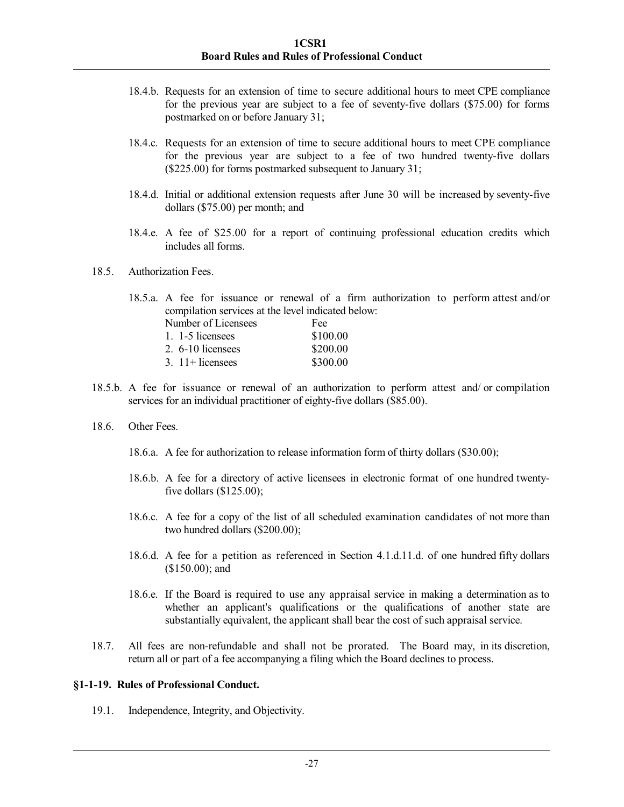- 18.4.b. Requests for an extension of time to secure additional hours to meet CPE compliance for the previous year are subject to a fee of seventy-five dollars (\$75.00) for forms postmarked on or before January 31;
- 18.4.c. Requests for an extension of time to secure additional hours to meet CPE compliance for the previous year are subject to a fee of two hundred twenty-five dollars (\$225.00) for forms postmarked subsequent to January 31;
- 18.4.d. Initial or additional extension requests after June 30 will be increased by seventy-five dollars (\$75.00) per month; and
- 18.4.e. A fee of \$25.00 for a report of continuing professional education credits which includes all forms.
- 18.5. Authorization Fees.

18.5.a. A fee for issuance or renewal of a firm authorization to perform attest and/or compilation services at the level indicated below: Number of Licensees Fee 1. 1-5 licensees \$100.00 2. 6-10 licensees \$200.00 3. 11+ licensees \$300.00

- 18.5.b. A fee for issuance or renewal of an authorization to perform attest and/ or compilation services for an individual practitioner of eighty-five dollars (\$85.00).
- 18.6. Other Fees.
	- 18.6.a. A fee for authorization to release information form of thirty dollars (\$30.00);
	- 18.6.b. A fee for a directory of active licensees in electronic format of one hundred twentyfive dollars  $(\$125.00)$ ;
	- 18.6.c. A fee for a copy of the list of all scheduled examination candidates of not more than two hundred dollars (\$200.00);
	- 18.6.d. A fee for a petition as referenced in Section 4.1.d.11.d. of one hundred fifty dollars (\$150.00); and
	- 18.6.e. If the Board is required to use any appraisal service in making a determination as to whether an applicant's qualifications or the qualifications of another state are substantially equivalent, the applicant shall bear the cost of such appraisal service.
- 18.7. All fees are non-refundable and shall not be prorated. The Board may, in its discretion, return all or part of a fee accompanying a filing which the Board declines to process.

### **§1-1-19. Rules of Professional Conduct.**

19.1. Independence, Integrity, and Objectivity.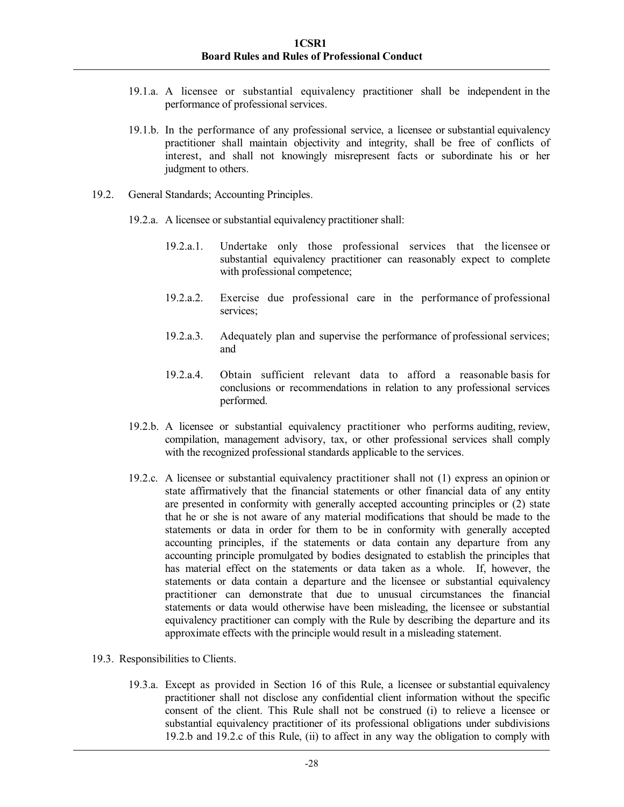- 19.1.a. A licensee or substantial equivalency practitioner shall be independent in the performance of professional services.
- 19.1.b. In the performance of any professional service, a licensee or substantial equivalency practitioner shall maintain objectivity and integrity, shall be free of conflicts of interest, and shall not knowingly misrepresent facts or subordinate his or her judgment to others.
- 19.2. General Standards; Accounting Principles.
	- 19.2.a. A licensee or substantial equivalency practitioner shall:
		- 19.2.a.1. Undertake only those professional services that the licensee or substantial equivalency practitioner can reasonably expect to complete with professional competence;
		- 19.2.a.2. Exercise due professional care in the performance of professional services;
		- 19.2.a.3. Adequately plan and supervise the performance of professional services; and
		- 19.2.a.4. Obtain sufficient relevant data to afford a reasonable basis for conclusions or recommendations in relation to any professional services performed.
	- 19.2.b. A licensee or substantial equivalency practitioner who performs auditing, review, compilation, management advisory, tax, or other professional services shall comply with the recognized professional standards applicable to the services.
	- 19.2.c. A licensee or substantial equivalency practitioner shall not (1) express an opinion or state affirmatively that the financial statements or other financial data of any entity are presented in conformity with generally accepted accounting principles or (2) state that he or she is not aware of any material modifications that should be made to the statements or data in order for them to be in conformity with generally accepted accounting principles, if the statements or data contain any departure from any accounting principle promulgated by bodies designated to establish the principles that has material effect on the statements or data taken as a whole. If, however, the statements or data contain a departure and the licensee or substantial equivalency practitioner can demonstrate that due to unusual circumstances the financial statements or data would otherwise have been misleading, the licensee or substantial equivalency practitioner can comply with the Rule by describing the departure and its approximate effects with the principle would result in a misleading statement.
- 19.3. Responsibilities to Clients.
	- 19.3.a. Except as provided in Section 16 of this Rule, a licensee or substantial equivalency practitioner shall not disclose any confidential client information without the specific consent of the client. This Rule shall not be construed (i) to relieve a licensee or substantial equivalency practitioner of its professional obligations under subdivisions 19.2.b and 19.2.c of this Rule, (ii) to affect in any way the obligation to comply with